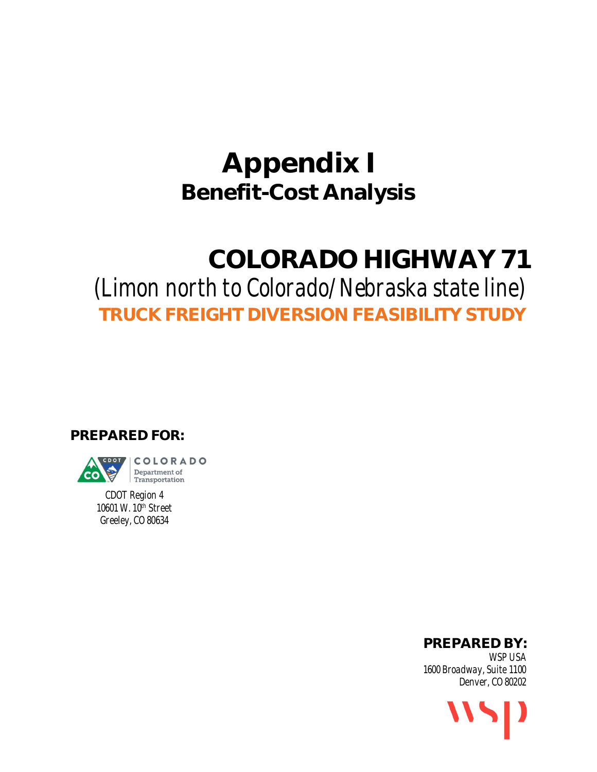# **Appendix I Benefit-Cost Analysis**

# **COLORADO HIGHWAY 71**

# *(Limon north to Colorado/Nebraska state line)* **TRUCK FREIGHT DIVERSION FEASIBILITY STUDY**

**PREPARED FOR:**



**Transportation** *CDOT Region 4*

*10601 W. 10th Street Greeley, CO 80634*

**PREPARED BY:**

*WSP USA 1600 Broadway, Suite 1100 Denver, CO 80202*

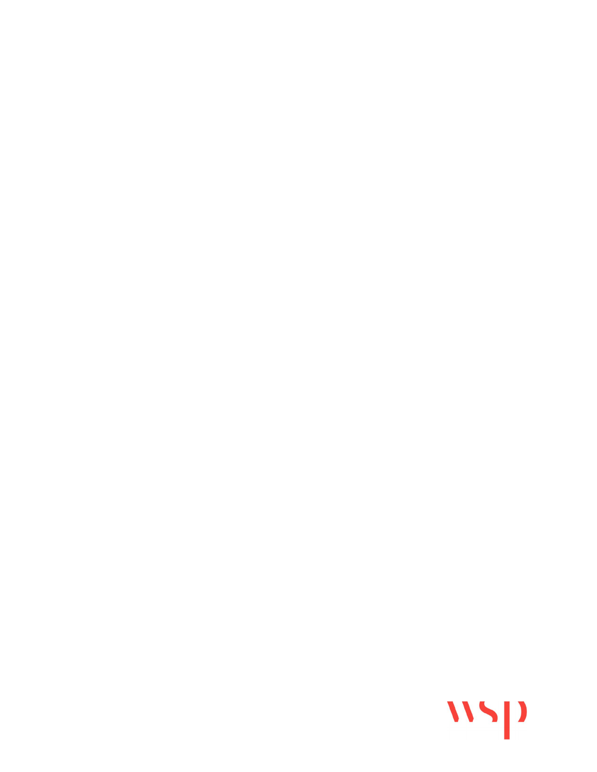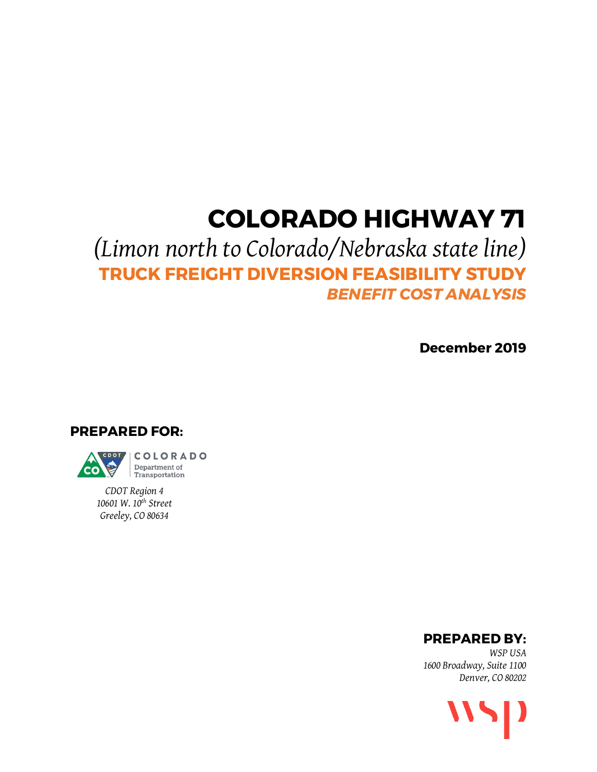# **COLORADO HIGHWAY 71**

# *(Limon north to Colorado/Nebraska state line)* **TRUCK FREIGHT DIVERSION FEASIBILITY STUDY** *BENEFIT COST ANALYSIS*

**December 2019**

**PREPARED FOR:**



*CDOT Region 4 10601 W. 10th Street Greeley, CO 80634*

**PREPARED BY:**

*WSP USA 1600 Broadway, Suite 1100 Denver, CO 80202*

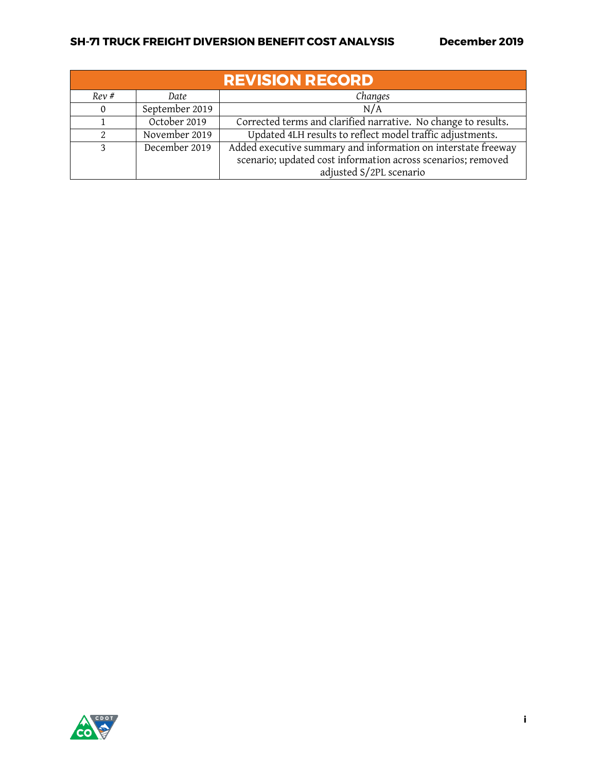| <b>REVISION RECORD</b> |                                                                            |                                                                                                                                                          |  |  |
|------------------------|----------------------------------------------------------------------------|----------------------------------------------------------------------------------------------------------------------------------------------------------|--|--|
| Rev#                   | Changes<br>Date                                                            |                                                                                                                                                          |  |  |
|                        | September 2019                                                             | N/A                                                                                                                                                      |  |  |
|                        | October 2019                                                               | Corrected terms and clarified narrative. No change to results.                                                                                           |  |  |
|                        | Updated 4LH results to reflect model traffic adjustments.<br>November 2019 |                                                                                                                                                          |  |  |
| 3                      | December 2019                                                              | Added executive summary and information on interstate freeway<br>scenario; updated cost information across scenarios; removed<br>adjusted S/2PL scenario |  |  |

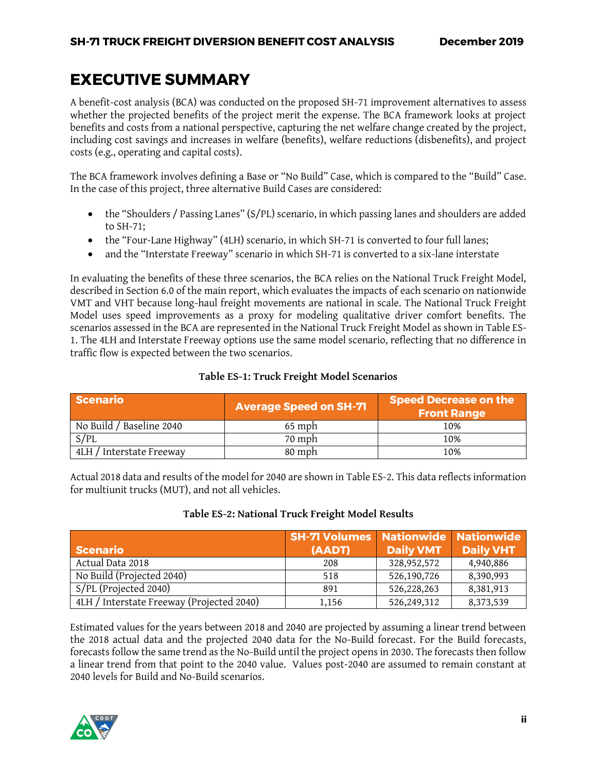## <span id="page-4-2"></span>**EXECUTIVE SUMMARY**

A benefit-cost analysis (BCA) was conducted on the proposed SH-71 improvement alternatives to assess whether the projected benefits of the project merit the expense. The BCA framework looks at project benefits and costs from a national perspective, capturing the net welfare change created by the project, including cost savings and increases in welfare (benefits), welfare reductions (disbenefits), and project costs (e.g., operating and capital costs).

The BCA framework involves defining a Base or "No Build" Case, which is compared to the "Build" Case. In the case of this project, three alternative Build Cases are considered:

- the "Shoulders / Passing Lanes" (S/PL) scenario, in which passing lanes and shoulders are added to SH-71;
- the "Four-Lane Highway" (4LH) scenario, in which SH-71 is converted to four full lanes;
- and the "Interstate Freeway" scenario in which SH-71 is converted to a six-lane interstate

In evaluating the benefits of these three scenarios, the BCA relies on the National Truck Freight Model, described in Section 6.0 of the main report, which evaluates the impacts of each scenario on nationwide VMT and VHT because long-haul freight movements are national in scale. The National Truck Freight Model uses speed improvements as a proxy for modeling qualitative driver comfort benefits. The scenarios assessed in the BCA are represented in the National Truck Freight Model as shown i[n Table ES-](#page-4-0)[1.](#page-4-0) The 4LH and Interstate Freeway options use the same model scenario, reflecting that no difference in traffic flow is expected between the two scenarios.

### **Table ES-1: Truck Freight Model Scenarios**

<span id="page-4-0"></span>

| <b>Scenario</b>          | <b>Average Speed on SH-71</b> | <b>Speed Decrease on the</b><br><b>Front Range</b> |
|--------------------------|-------------------------------|----------------------------------------------------|
| No Build / Baseline 2040 | $65$ mph                      | 10%                                                |
| S/PL                     | 70 mph                        | 10%                                                |
| 4LH / Interstate Freeway | 80 mph                        | 10%                                                |

Actual 2018 data and results of the model for 2040 are shown in [Table ES-2.](#page-4-1) This data reflects information for multiunit trucks (MUT), and not all vehicles.

### **Table ES-2: National Truck Freight Model Results**

<span id="page-4-1"></span>

| <b>Scenario</b>                           | <b>SH-71 Volumes Nationwide Nationwide</b><br>(AADT) | <b>Daily VMT</b> | <b>Daily VHT</b> |
|-------------------------------------------|------------------------------------------------------|------------------|------------------|
| Actual Data 2018                          | 208                                                  | 328,952,572      | 4,940,886        |
| No Build (Projected 2040)                 | 518                                                  | 526,190,726      | 8,390,993        |
| S/PL (Projected 2040)                     | 891                                                  | 526,228,263      | 8,381,913        |
| 4LH / Interstate Freeway (Projected 2040) | 1,156                                                | 526,249,312      | 8,373,539        |

Estimated values for the years between 2018 and 2040 are projected by assuming a linear trend between the 2018 actual data and the projected 2040 data for the No-Build forecast. For the Build forecasts, forecasts follow the same trend as the No-Build until the project opens in 2030. The forecasts then follow a linear trend from that point to the 2040 value. Values post-2040 are assumed to remain constant at 2040 levels for Build and No-Build scenarios.

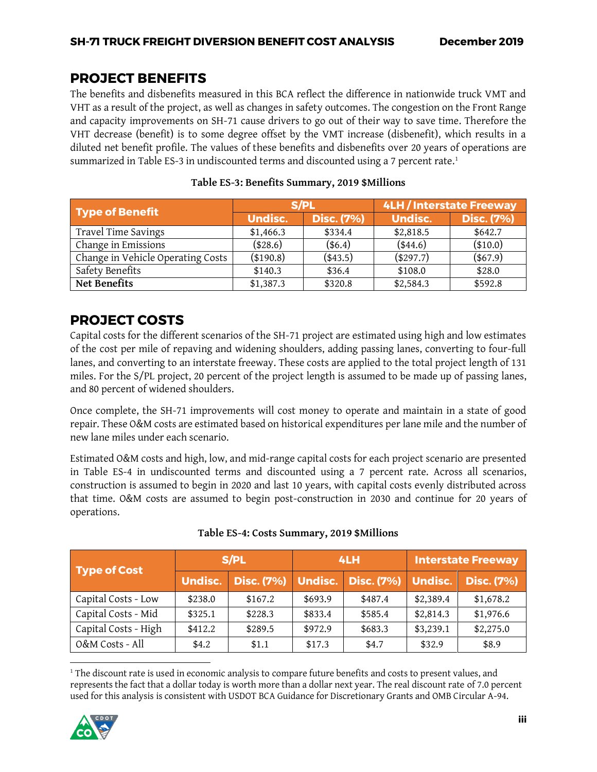## <span id="page-5-2"></span>**PROJECT BENEFITS**

The benefits and disbenefits measured in this BCA reflect the difference in nationwide truck VMT and VHT as a result of the project, as well as changes in safety outcomes. The congestion on the Front Range and capacity improvements on SH-71 cause drivers to go out of their way to save time. Therefore the VHT decrease (benefit) is to some degree offset by the VMT increase (disbenefit), which results in a diluted net benefit profile. The values of these benefits and disbenefits over 20 years of operations are summarized i[n Table ES-3](#page-5-0) in undiscounted terms and discounted using a 7 percent rate. 1

<span id="page-5-0"></span>

| <b>Type of Benefit</b>            |                | S/PL              | 4LH / Interstate Freeway |                   |  |
|-----------------------------------|----------------|-------------------|--------------------------|-------------------|--|
|                                   | <b>Undisc.</b> | <b>Disc. (7%)</b> | <b>Undisc.</b>           | <b>Disc. (7%)</b> |  |
| Travel Time Savings               | \$1,466.3      | \$334.4           | \$2,818.5                | \$642.7           |  |
| Change in Emissions               | (\$28.6)       | (\$6.4)           | $(*44.6)$                | $(*10.0)$         |  |
| Change in Vehicle Operating Costs | (\$190.8)      | $(*43.5)$         | (\$297.7)                | $(*67.9)$         |  |
| Safety Benefits                   | \$140.3        | \$36.4            | \$108.0                  | \$28.0            |  |
| Net Benefits                      | \$1,387.3      | \$320.8           | \$2,584.3                | \$592.8           |  |

#### **Table ES-3: Benefits Summary, 2019 \$Millions**

## <span id="page-5-3"></span>**PROJECT COSTS**

Capital costs for the different scenarios of the SH-71 project are estimated using high and low estimates of the cost per mile of repaving and widening shoulders, adding passing lanes, converting to four-full lanes, and converting to an interstate freeway. These costs are applied to the total project length of 131 miles. For the S/PL project, 20 percent of the project length is assumed to be made up of passing lanes, and 80 percent of widened shoulders.

Once complete, the SH-71 improvements will cost money to operate and maintain in a state of good repair. These O&M costs are estimated based on historical expenditures per lane mile and the number of new lane miles under each scenario.

Estimated O&M costs and high, low, and mid-range capital costs for each project scenario are presented in [Table ES-4](#page-5-1) in undiscounted terms and discounted using a 7 percent rate. Across all scenarios, construction is assumed to begin in 2020 and last 10 years, with capital costs evenly distributed across that time. O&M costs are assumed to begin post-construction in 2030 and continue for 20 years of operations.

<span id="page-5-1"></span>

| <b>Type of Cost</b>  | S/PL           |         | 4LH     |                                       | <b>Interstate Freeway</b> |                   |
|----------------------|----------------|---------|---------|---------------------------------------|---------------------------|-------------------|
|                      | <b>Undisc.</b> |         |         | Disc. (7%) Undisc. Disc. (7%) Undisc. |                           | <b>Disc. (7%)</b> |
| Capital Costs - Low  | \$238.0        | \$167.2 | \$693.9 | \$487.4                               | \$2,389.4                 | \$1,678.2         |
| Capital Costs - Mid  | \$325.1        | \$228.3 | \$833.4 | \$585.4                               | \$2,814.3                 | \$1,976.6         |
| Capital Costs - High | \$412.2        | \$289.5 | \$972.9 | \$683.3                               | \$3,239.1                 | \$2,275.0         |
| O&M Costs - All      | \$4.2          | \$1.1   | \$17.3  | \$4.7                                 | \$32.9                    | \$8.9             |

| Table ES-4: Costs Summary, 2019 \$Millions |  |  |
|--------------------------------------------|--|--|
|--------------------------------------------|--|--|

 $\overline{\phantom{a}}$ <sup>1</sup> The discount rate is used in economic analysis to compare future benefits and costs to present values, and represents the fact that a dollar today is worth more than a dollar next year. The real discount rate of 7.0 percent used for this analysis is consistent with USDOT BCA Guidance for Discretionary Grants and OMB Circular A-94.

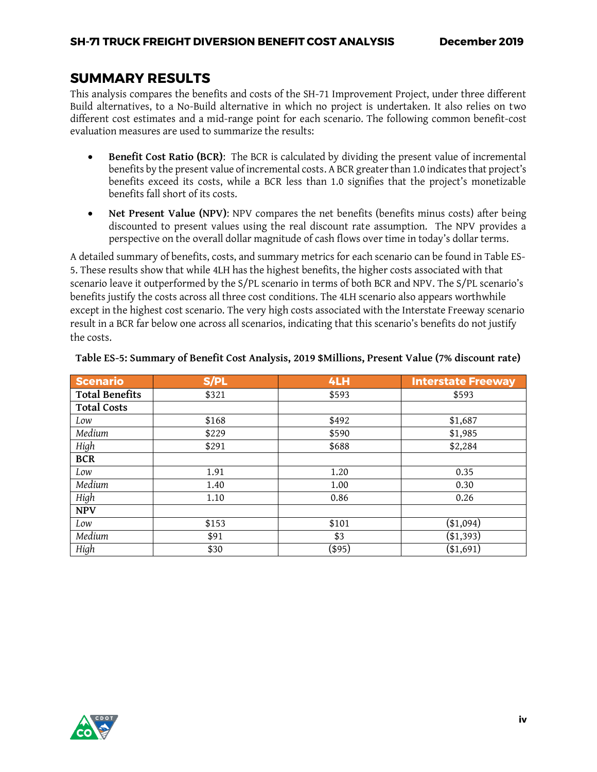## <span id="page-6-1"></span>**SUMMARY RESULTS**

This analysis compares the benefits and costs of the SH-71 Improvement Project, under three different Build alternatives, to a No-Build alternative in which no project is undertaken. It also relies on two different cost estimates and a mid-range point for each scenario. The following common benefit-cost evaluation measures are used to summarize the results:

- **Benefit Cost Ratio (BCR)**: The BCR is calculated by dividing the present value of incremental benefits by the present value of incremental costs. A BCR greater than 1.0 indicates that project's benefits exceed its costs, while a BCR less than 1.0 signifies that the project's monetizable benefits fall short of its costs.
- **Net Present Value (NPV)**: NPV compares the net benefits (benefits minus costs) after being discounted to present values using the real discount rate assumption. The NPV provides a perspective on the overall dollar magnitude of cash flows over time in today's dollar terms.

A detailed summary of benefits, costs, and summary metrics for each scenario can be found in [Table ES-](#page-6-0)[5.](#page-6-0) These results show that while 4LH has the highest benefits, the higher costs associated with that scenario leave it outperformed by the S/PL scenario in terms of both BCR and NPV. The S/PL scenario's benefits justify the costs across all three cost conditions. The 4LH scenario also appears worthwhile except in the highest cost scenario. The very high costs associated with the Interstate Freeway scenario result in a BCR far below one across all scenarios, indicating that this scenario's benefits do not justify the costs.

| <b>Scenario</b>       | S/PL  | 4LH    | <b>Interstate Freeway</b> |
|-----------------------|-------|--------|---------------------------|
| <b>Total Benefits</b> | \$321 | \$593  | \$593                     |
| <b>Total Costs</b>    |       |        |                           |
| Low                   | \$168 | \$492  | \$1,687                   |
| Medium                | \$229 | \$590  | \$1,985                   |
| High                  | \$291 | \$688  | \$2,284                   |
| <b>BCR</b>            |       |        |                           |
| Low                   | 1.91  | 1.20   | 0.35                      |
| Medium                | 1.40  | 1.00   | 0.30                      |
| High                  | 1.10  | 0.86   | 0.26                      |
| <b>NPV</b>            |       |        |                           |
| Low                   | \$153 | \$101  | $(*1,094)$                |
| Medium                | \$91  | \$3    | ( \$1,393)                |
| High                  | \$30  | (\$95) | $(\$1,691)$               |

#### <span id="page-6-0"></span>**Table ES-5: Summary of Benefit Cost Analysis, 2019 \$Millions, Present Value (7% discount rate)**

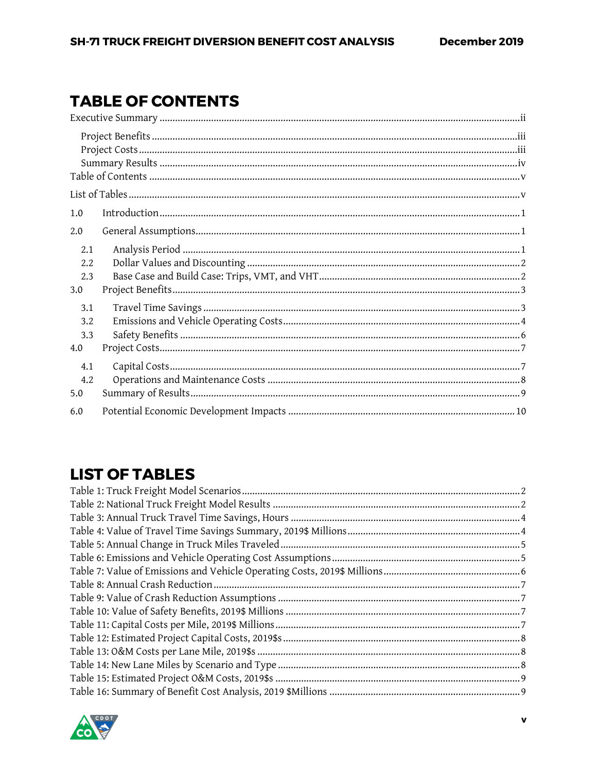# <span id="page-7-0"></span>**TABLE OF CONTENTS**

| 1.0                      |  |
|--------------------------|--|
| 2.0                      |  |
| 2.1<br>2.2<br>2.3<br>3.0 |  |
| 3.1<br>3.2<br>3.3<br>4.0 |  |
| 4.1<br>4.2<br>5.0        |  |
| 6.0                      |  |

# <span id="page-7-1"></span>**LIST OF TABLES**

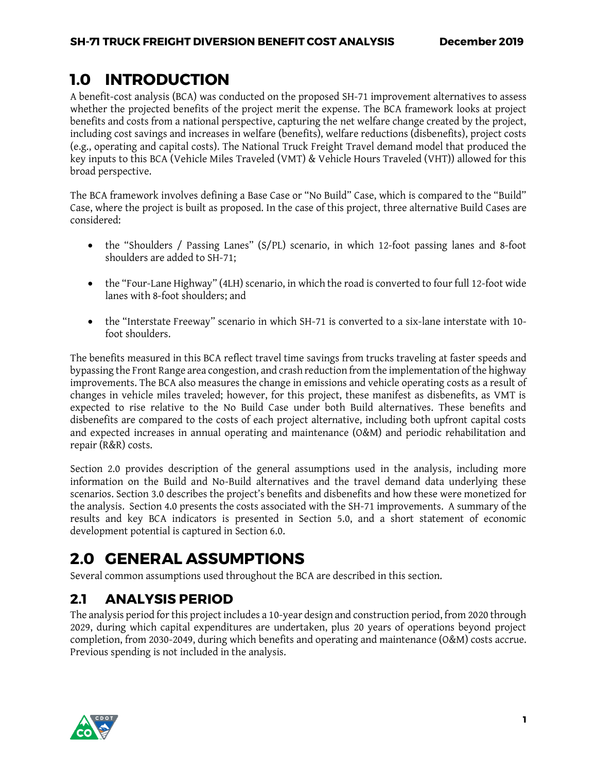## <span id="page-8-0"></span>**1.0 INTRODUCTION**

A benefit-cost analysis (BCA) was conducted on the proposed SH-71 improvement alternatives to assess whether the projected benefits of the project merit the expense. The BCA framework looks at project benefits and costs from a national perspective, capturing the net welfare change created by the project, including cost savings and increases in welfare (benefits), welfare reductions (disbenefits), project costs (e.g., operating and capital costs). The National Truck Freight Travel demand model that produced the key inputs to this BCA (Vehicle Miles Traveled (VMT) & Vehicle Hours Traveled (VHT)) allowed for this broad perspective.

The BCA framework involves defining a Base Case or "No Build" Case, which is compared to the "Build" Case, where the project is built as proposed. In the case of this project, three alternative Build Cases are considered:

- the "Shoulders / Passing Lanes" (S/PL) scenario, in which 12-foot passing lanes and 8-foot shoulders are added to SH-71;
- the "Four-Lane Highway" (4LH) scenario, in which the road is converted to four full 12-foot wide lanes with 8-foot shoulders; and
- the "Interstate Freeway" scenario in which SH-71 is converted to a six-lane interstate with 10 foot shoulders.

The benefits measured in this BCA reflect travel time savings from trucks traveling at faster speeds and bypassing the Front Range area congestion, and crash reduction from the implementation of the highway improvements. The BCA also measures the change in emissions and vehicle operating costs as a result of changes in vehicle miles traveled; however, for this project, these manifest as disbenefits, as VMT is expected to rise relative to the No Build Case under both Build alternatives. These benefits and disbenefits are compared to the costs of each project alternative, including both upfront capital costs and expected increases in annual operating and maintenance (O&M) and periodic rehabilitation and repair (R&R) costs.

Section [2.0](#page-8-1) provides description of the general assumptions used in the analysis, including more information on the Build and No-Build alternatives and the travel demand data underlying these scenarios. Section [3.0](#page-10-0) describes the project's benefits and disbenefits and how these were monetized for the analysis. Section [4.0](#page-14-0) presents the costs associated with the SH-71 improvements. A summary of the results and key BCA indicators is presented in Section [5.0,](#page-16-0) and a short statement of economic development potential is captured in Section 6.0.

# <span id="page-8-1"></span>**2.0 GENERAL ASSUMPTIONS**

Several common assumptions used throughout the BCA are described in this section.

## <span id="page-8-2"></span>**2.1 ANALYSIS PERIOD**

The analysis period for this project includes a 10-year design and construction period, from 2020 through 2029, during which capital expenditures are undertaken, plus 20 years of operations beyond project completion, from 2030-2049, during which benefits and operating and maintenance (O&M) costs accrue. Previous spending is not included in the analysis.

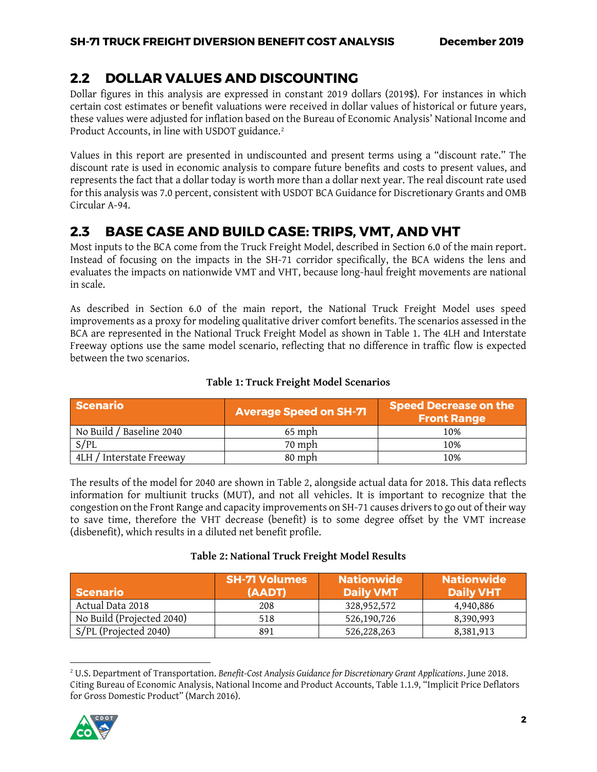## <span id="page-9-0"></span>**2.2 DOLLAR VALUES AND DISCOUNTING**

Dollar figures in this analysis are expressed in constant 2019 dollars (2019\$). For instances in which certain cost estimates or benefit valuations were received in dollar values of historical or future years, these values were adjusted for inflation based on the Bureau of Economic Analysis' National Income and Product Accounts, in line with USDOT guidance.<sup>2</sup>

Values in this report are presented in undiscounted and present terms using a "discount rate." The discount rate is used in economic analysis to compare future benefits and costs to present values, and represents the fact that a dollar today is worth more than a dollar next year. The real discount rate used for this analysis was 7.0 percent, consistent with USDOT BCA Guidance for Discretionary Grants and OMB Circular A-94.

## <span id="page-9-1"></span>**2.3 BASE CASE AND BUILD CASE: TRIPS, VMT, AND VHT**

Most inputs to the BCA come from the Truck Freight Model, described in Section 6.0 of the main report. Instead of focusing on the impacts in the SH-71 corridor specifically, the BCA widens the lens and evaluates the impacts on nationwide VMT and VHT, because long-haul freight movements are national in scale.

As described in Section 6.0 of the main report, the National Truck Freight Model uses speed improvements as a proxy for modeling qualitative driver comfort benefits. The scenarios assessed in the BCA are represented in the National Truck Freight Model as shown in [Table 1.](#page-9-2) The 4LH and Interstate Freeway options use the same model scenario, reflecting that no difference in traffic flow is expected between the two scenarios.

<span id="page-9-2"></span>

| <b>Scenario</b>          | <b>Average Speed on SH-71</b> | <b>Speed Decrease on the</b><br><b>Front Range</b> |
|--------------------------|-------------------------------|----------------------------------------------------|
| No Build / Baseline 2040 | $65$ mph                      | 10%                                                |
| S/PL                     | 70 mph                        | 10%                                                |
| 4LH / Interstate Freeway | 80 mph                        | 10%                                                |

#### **Table 1: Truck Freight Model Scenarios**

The results of the model for 2040 are shown in [Table 2,](#page-9-3) alongside actual data for 2018. This data reflects information for multiunit trucks (MUT), and not all vehicles. It is important to recognize that the congestion on the Front Range and capacity improvements on SH-71 causes drivers to go out of their way to save time, therefore the VHT decrease (benefit) is to some degree offset by the VMT increase (disbenefit), which results in a diluted net benefit profile.

#### **Table 2: National Truck Freight Model Results**

<span id="page-9-3"></span>

| <b>Scenario</b>           | <b>SH-71 Volumes</b><br>(AADT) | <b>Nationwide</b><br><b>Daily VMT</b> | <b>Nationwide</b><br><b>Daily VHT</b> |
|---------------------------|--------------------------------|---------------------------------------|---------------------------------------|
| Actual Data 2018          | 208                            | 328,952,572                           | 4,940,886                             |
| No Build (Projected 2040) | 518                            | 526,190,726                           | 8,390,993                             |
| S/PL (Projected 2040)     | 891                            | 526,228,263                           | 8,381,913                             |

 $\overline{\phantom{a}}$ <sup>2</sup> U.S. Department of Transportation. *Benefit-Cost Analysis Guidance for Discretionary Grant Applications*. June 2018. Citing Bureau of Economic Analysis, National Income and Product Accounts, Table 1.1.9, "Implicit Price Deflators for Gross Domestic Product" (March 2016).

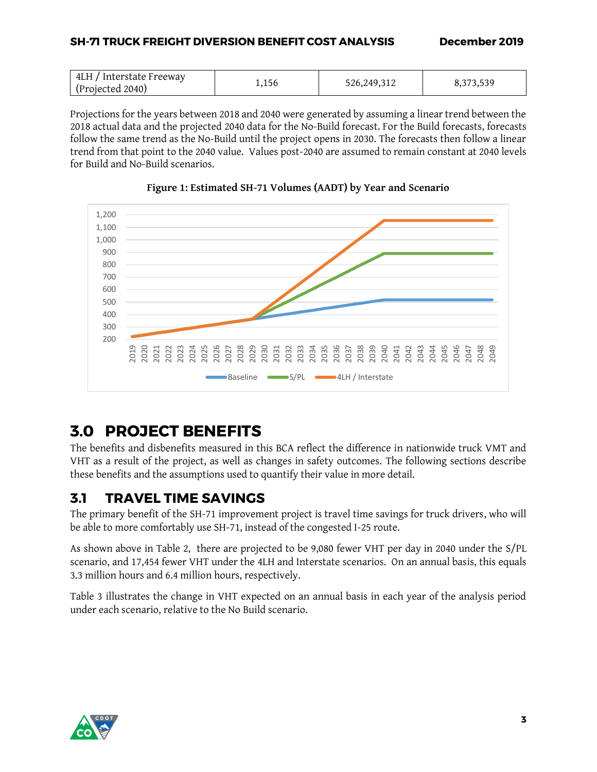Projections for the years between 2018 and 2040 were generated by assuming a linear trend between the 2018 actual data and the projected 2040 data for the No-Build forecast. For the Build forecasts, forecasts follow the same trend as the No-Build until the project opens in 2030. The forecasts then follow a linear trend from that point to the 2040 value. Values post-2040 are assumed to remain constant at 2040 levels for Build and No-Build scenarios.



**Figure 1: Estimated SH-71 Volumes (AADT) by Year and Scenario**

# <span id="page-10-0"></span>**3.0 PROJECT BENEFITS**

The benefits and disbenefits measured in this BCA reflect the difference in nationwide truck VMT and VHT as a result of the project, as well as changes in safety outcomes. The following sections describe these benefits and the assumptions used to quantify their value in more detail.

## <span id="page-10-1"></span>**3.1 TRAVEL TIME SAVINGS**

The primary benefit of the SH-71 improvement project is travel time savings for truck drivers, who will be able to more comfortably use SH-71, instead of the congested I-25 route.

As shown above in [Table 2,](#page-9-3) there are projected to be 9,080 fewer VHT per day in 2040 under the S/PL scenario, and 17,454 fewer VHT under the 4LH and Interstate scenarios. On an annual basis, this equals 3.3 million hours and 6.4 million hours, respectively.

[Table 3](#page-11-1) illustrates the change in VHT expected on an annual basis in each year of the analysis period under each scenario, relative to the No Build scenario.

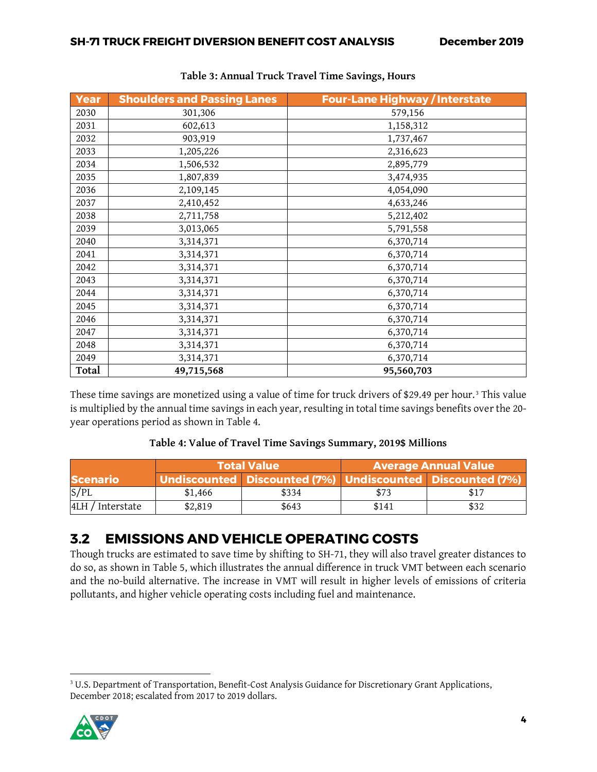<span id="page-11-1"></span>

| Year  | <b>Shoulders and Passing Lanes</b> | <b>Four-Lane Highway / Interstate</b> |
|-------|------------------------------------|---------------------------------------|
| 2030  | 301,306                            | 579,156                               |
| 2031  | 602,613                            | 1,158,312                             |
| 2032  | 903,919                            | 1,737,467                             |
| 2033  | 1,205,226                          | 2,316,623                             |
| 2034  | 1,506,532                          | 2,895,779                             |
| 2035  | 1,807,839                          | 3,474,935                             |
| 2036  | 2,109,145                          | 4,054,090                             |
| 2037  | 2,410,452                          | 4,633,246                             |
| 2038  | 2,711,758                          | 5,212,402                             |
| 2039  | 3,013,065                          | 5,791,558                             |
| 2040  | 3,314,371                          | 6,370,714                             |
| 2041  | 3,314,371                          | 6,370,714                             |
| 2042  | 3,314,371                          | 6,370,714                             |
| 2043  | 3,314,371                          | 6,370,714                             |
| 2044  | 3,314,371                          | 6,370,714                             |
| 2045  | 3,314,371                          | 6,370,714                             |
| 2046  | 3,314,371                          | 6,370,714                             |
| 2047  | 3,314,371                          | 6,370,714                             |
| 2048  | 3,314,371                          | 6,370,714                             |
| 2049  | 3,314,371                          | 6,370,714                             |
| Total | 49,715,568                         | 95,560,703                            |

## **Table 3: Annual Truck Travel Time Savings, Hours**

These time savings are monetized using a value of time for truck drivers of \$29.49 per hour.<sup>3</sup> This value is multiplied by the annual time savings in each year, resulting in total time savings benefits over the 20 year operations period as shown in [Table 4.](#page-11-2)

### **Table 4: Value of Travel Time Savings Summary, 2019\$ Millions**

<span id="page-11-2"></span>

|                  |         | <b>Total Value</b>                                        | <b>Average Annual Value</b> |      |
|------------------|---------|-----------------------------------------------------------|-----------------------------|------|
| <b>Scenario</b>  |         | Undiscounted Discounted (7%) Undiscounted Discounted (7%) |                             |      |
| S/PL             | \$1,466 | \$334                                                     | \$73                        | \$17 |
| 4LH / Interstate | \$2,819 | \$643                                                     | \$141                       | \$32 |

## <span id="page-11-0"></span>**3.2 EMISSIONS AND VEHICLE OPERATING COSTS**

Though trucks are estimated to save time by shifting to SH-71, they will also travel greater distances to do so, as shown in [Table 5,](#page-12-0) which illustrates the annual difference in truck VMT between each scenario and the no-build alternative. The increase in VMT will result in higher levels of emissions of criteria pollutants, and higher vehicle operating costs including fuel and maintenance.

 $\overline{\phantom{a}}$ <sup>3</sup> U.S. Department of Transportation, Benefit-Cost Analysis Guidance for Discretionary Grant Applications, December 2018; escalated from 2017 to 2019 dollars.

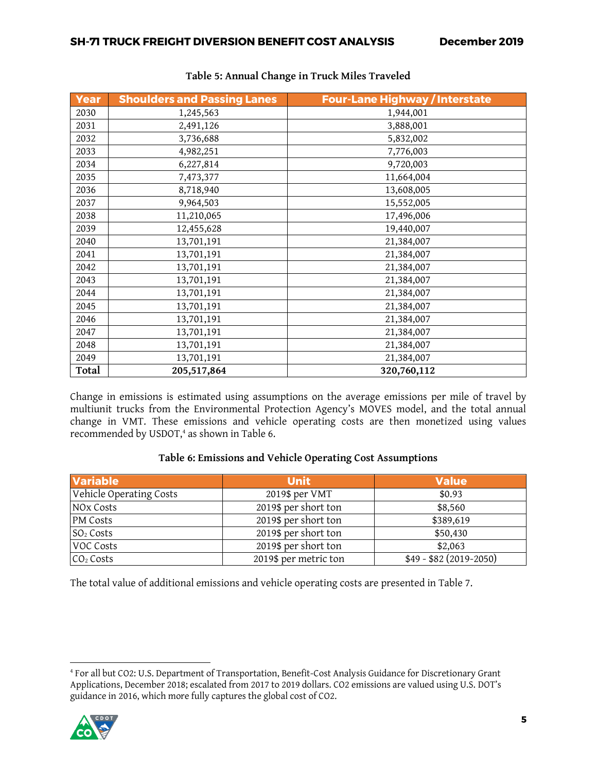<span id="page-12-2"></span><span id="page-12-0"></span>

| Year  | <b>Shoulders and Passing Lanes</b> | <b>Four-Lane Highway / Interstate</b> |
|-------|------------------------------------|---------------------------------------|
| 2030  | 1,245,563                          | 1,944,001                             |
| 2031  | 2,491,126                          | 3,888,001                             |
| 2032  | 3,736,688                          | 5,832,002                             |
| 2033  | 4,982,251                          | 7,776,003                             |
| 2034  | 6,227,814                          | 9,720,003                             |
| 2035  | 7,473,377                          | 11,664,004                            |
| 2036  | 8,718,940                          | 13,608,005                            |
| 2037  | 9,964,503                          | 15,552,005                            |
| 2038  | 11,210,065                         | 17,496,006                            |
| 2039  | 12,455,628                         | 19,440,007                            |
| 2040  | 13,701,191                         | 21,384,007                            |
| 2041  | 13,701,191                         | 21,384,007                            |
| 2042  | 13,701,191                         | 21,384,007                            |
| 2043  | 13,701,191                         | 21,384,007                            |
| 2044  | 13,701,191                         | 21,384,007                            |
| 2045  | 13,701,191                         | 21,384,007                            |
| 2046  | 13,701,191                         | 21,384,007                            |
| 2047  | 13,701,191                         | 21,384,007                            |
| 2048  | 13,701,191                         | 21,384,007                            |
| 2049  | 13,701,191                         | 21,384,007                            |
| Total | 205,517,864                        | 320,760,112                           |

## **Table 5: Annual Change in Truck Miles Traveled**

Change in emissions is estimated using assumptions on the average emissions per mile of travel by multiunit trucks from the Environmental Protection Agency's MOVES model, and the total annual change in VMT. These emissions and vehicle operating costs are then monetized using values recommended by USDOT, <sup>4</sup> as shown in [Table 6.](#page-12-1)

### **Table 6: Emissions and Vehicle Operating Cost Assumptions**

<span id="page-12-1"></span>

| <b>Variable</b>         | <b>Unit</b>           | <b>Value</b>             |
|-------------------------|-----------------------|--------------------------|
| Vehicle Operating Costs | 2019\$ per VMT        | \$0.93                   |
| NO <sub>x</sub> Costs   | 2019\$ per short ton  | \$8,560                  |
| <b>PM</b> Costs         | 2019\$ per short ton  | \$389,619                |
| $SO2$ Costs             | 2019\$ per short ton  | \$50,430                 |
| VOC Costs               | 2019\$ per short ton  | \$2,063                  |
| CO <sub>2</sub> Costs   | 2019\$ per metric ton | $$49 - $82(2019 - 2050)$ |

The total value of additional emissions and vehicle operating costs are presented in [Table 7.](#page-12-2)

 $\overline{\phantom{a}}$ <sup>4</sup> For all but CO2: U.S. Department of Transportation, Benefit-Cost Analysis Guidance for Discretionary Grant Applications, December 2018; escalated from 2017 to 2019 dollars. CO2 emissions are valued using U.S. DOT's guidance in 2016, which more fully captures the global cost of CO2.

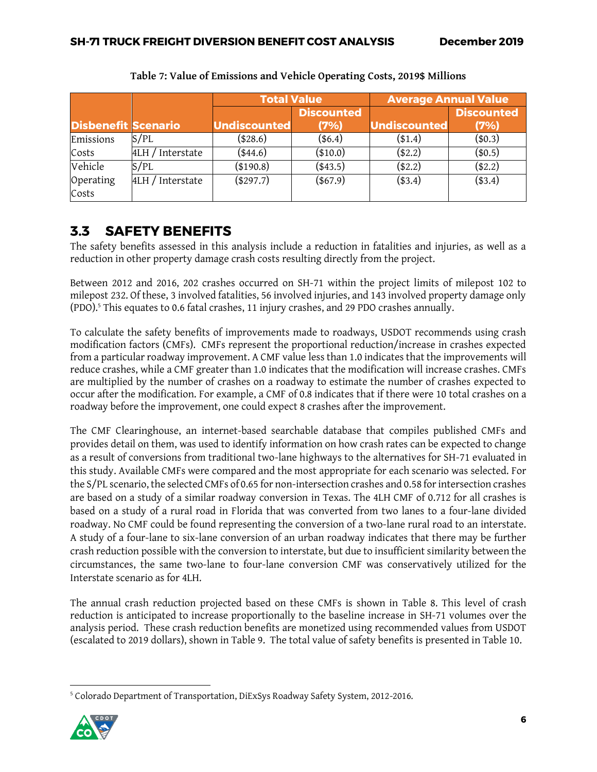<span id="page-13-1"></span>

|                            |                     | <b>Total Value</b> |                   | <b>Average Annual Value</b> |                   |
|----------------------------|---------------------|--------------------|-------------------|-----------------------------|-------------------|
|                            |                     |                    | <b>Discounted</b> |                             | <b>Discounted</b> |
| <b>Disbenefit Scenario</b> |                     | Undiscounted       | (7%)              | Undiscounted                | (7%)              |
| Emissions                  | S/PL                | (\$28.6)           | $(*6.4)$          | $(*1.4)$                    | (\$0.3)           |
| Costs                      | Interstate<br>4LH/  | $(*44.6)$          | $(*10.0)$         | $(*2.2)$                    | (\$0.5)           |
| Vehicle                    | S/PL                | (\$190.8)          | $(*43.5)$         | $(*2.2)$                    | $(*2.2)$          |
| Operating                  | Interstate<br>4LH / | (\$297.7)          | $(*67.9)$         | $(*3.4)$                    | $(*3.4)$          |
| Costs                      |                     |                    |                   |                             |                   |

**Table 7: Value of Emissions and Vehicle Operating Costs, 2019\$ Millions**

## <span id="page-13-0"></span>**3.3 SAFETY BENEFITS**

The safety benefits assessed in this analysis include a reduction in fatalities and injuries, as well as a reduction in other property damage crash costs resulting directly from the project.

Between 2012 and 2016, 202 crashes occurred on SH-71 within the project limits of milepost 102 to milepost 232. Of these, 3 involved fatalities, 56 involved injuries, and 143 involved property damage only (PDO).<sup>5</sup> This equates to 0.6 fatal crashes, 11 injury crashes, and 29 PDO crashes annually.

To calculate the safety benefits of improvements made to roadways, USDOT recommends using crash modification factors (CMFs). CMFs represent the proportional reduction/increase in crashes expected from a particular roadway improvement. A CMF value less than 1.0 indicates that the improvements will reduce crashes, while a CMF greater than 1.0 indicates that the modification will increase crashes. CMFs are multiplied by the number of crashes on a roadway to estimate the number of crashes expected to occur after the modification. For example, a CMF of 0.8 indicates that if there were 10 total crashes on a roadway before the improvement, one could expect 8 crashes after the improvement.

The CMF Clearinghouse, an internet-based searchable database that compiles published CMFs and provides detail on them, was used to identify information on how crash rates can be expected to change as a result of conversions from traditional two-lane highways to the alternatives for SH-71 evaluated in this study. Available CMFs were compared and the most appropriate for each scenario was selected. For the S/PL scenario, the selected CMFs of 0.65 for non-intersection crashes and 0.58 for intersection crashes are based on a study of a similar roadway conversion in Texas. The 4LH CMF of 0.712 for all crashes is based on a study of a rural road in Florida that was converted from two lanes to a four-lane divided roadway. No CMF could be found representing the conversion of a two-lane rural road to an interstate. A study of a four-lane to six-lane conversion of an urban roadway indicates that there may be further crash reduction possible with the conversion to interstate, but due to insufficient similarity between the circumstances, the same two-lane to four-lane conversion CMF was conservatively utilized for the Interstate scenario as for 4LH.

The annual crash reduction projected based on these CMFs is shown in [Table 8.](#page-13-1) This level of crash reduction is anticipated to increase proportionally to the baseline increase in SH-71 volumes over the analysis period. These crash reduction benefits are monetized using recommended values from USDOT (escalated to 2019 dollars), shown in [Table 9.](#page-14-2) The total value of safety benefits is presented in [Table](#page-14-3) 10.

 $\overline{\phantom{a}}$ <sup>5</sup> Colorado Department of Transportation, DiExSys Roadway Safety System, 2012-2016.

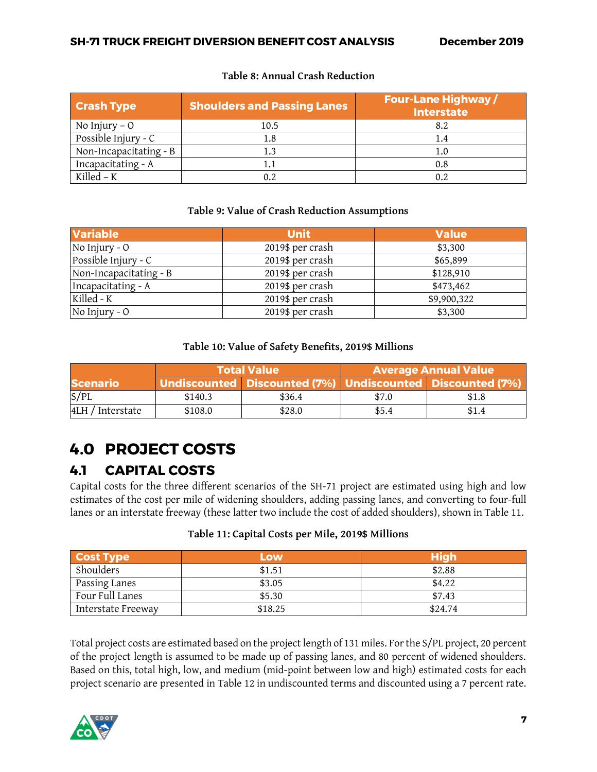### **Table 8: Annual Crash Reduction**

| <b>Crash Type</b>      | <b>Shoulders and Passing Lanes</b> | <b>Four-Lane Highway/</b><br><b>Interstate</b> |
|------------------------|------------------------------------|------------------------------------------------|
| No Injury $-0$         | 10.5                               | 8.2                                            |
| Possible Injury - C    | 1.8                                |                                                |
| Non-Incapacitating - B |                                    |                                                |
| Incapacitating - A     |                                    | 0.8                                            |
| Killed – $K$           | 0.2                                | 0.2                                            |

#### **Table 9: Value of Crash Reduction Assumptions**

<span id="page-14-2"></span>

| <b>Variable</b>        | <b>Unit</b>      | <b>Value</b> |
|------------------------|------------------|--------------|
| No Injury - O          | 2019\$ per crash | \$3,300      |
| Possible Injury - C    | 2019\$ per crash | \$65,899     |
| Non-Incapacitating - B | 2019\$ per crash | \$128,910    |
| Incapacitating - A     | 2019\$ per crash | \$473,462    |
| Killed - K             | 2019\$ per crash | \$9,900,322  |
| No Injury - O          | 2019\$ per crash | \$3,300      |

#### **Table 10: Value of Safety Benefits, 2019\$ Millions**

<span id="page-14-3"></span>

|                  |         | <b>Total Value</b> | Average Annual Value |                                                           |
|------------------|---------|--------------------|----------------------|-----------------------------------------------------------|
| <b>Scenario</b>  |         |                    |                      | Undiscounted Discounted (7%) Undiscounted Discounted (7%) |
| S/PL             | \$140.3 | \$36.4             | \$7.0                | \$1.8                                                     |
| 4LH / Interstate | \$108.0 | \$28.0             | \$5.4                | \$1.4                                                     |

# <span id="page-14-0"></span>**4.0 PROJECT COSTS**

## <span id="page-14-1"></span>**4.1 CAPITAL COSTS**

Capital costs for the three different scenarios of the SH-71 project are estimated using high and low estimates of the cost per mile of widening shoulders, adding passing lanes, and converting to four-full lanes or an interstate freeway (these latter two include the cost of added shoulders), shown in [Table 11.](#page-14-4)

#### **Table 11: Capital Costs per Mile, 2019\$ Millions**

<span id="page-14-4"></span>

| <b>Cost Type</b>   | Low     | <b>High</b> |
|--------------------|---------|-------------|
| Shoulders          | \$1.51  | \$2.88      |
| Passing Lanes      | \$3.05  | \$4.22      |
| Four Full Lanes    | \$5.30  | \$7.43      |
| Interstate Freeway | \$18.25 | \$24.74     |

Total project costs are estimated based on the project length of 131 miles. For the S/PL project, 20 percent of the project length is assumed to be made up of passing lanes, and 80 percent of widened shoulders. Based on this, total high, low, and medium (mid-point between low and high) estimated costs for each project scenario are presented in [Table 12](#page-15-1) in undiscounted terms and discounted using a 7 percent rate.

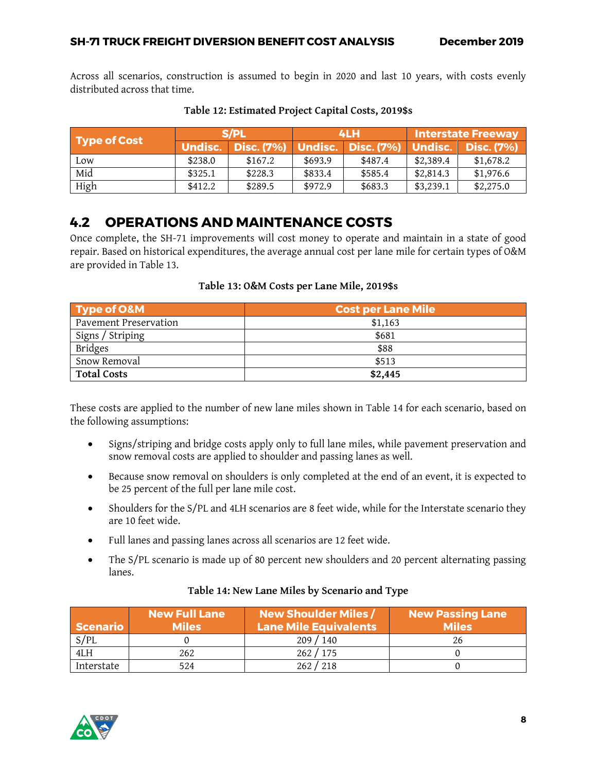Across all scenarios, construction is assumed to begin in 2020 and last 10 years, with costs evenly distributed across that time.

<span id="page-15-1"></span>

| Type of Cost | S/PL           |              | 4LH     |                            | Interstate Freeway |                   |
|--------------|----------------|--------------|---------|----------------------------|--------------------|-------------------|
|              | <b>Undisc.</b> | Disc. $(7%)$ |         | Undisc. Disc. (7%) Undisc. |                    | <b>Disc. (7%)</b> |
| Low          | \$238.0        | \$167.2      | \$693.9 | \$487.4                    | \$2,389.4          | \$1,678.2         |
| Mid          | \$325.1        | \$228.3      | \$833.4 | \$585.4                    | \$2,814.3          | \$1,976.6         |
| High         | \$412.2        | \$289.5      | \$972.9 | \$683.3                    | \$3,239.1          | \$2,275.0         |

#### **Table 12: Estimated Project Capital Costs, 2019\$s**

## <span id="page-15-0"></span>**4.2 OPERATIONS AND MAINTENANCE COSTS**

Once complete, the SH-71 improvements will cost money to operate and maintain in a state of good repair. Based on historical expenditures, the average annual cost per lane mile for certain types of O&M are provided in [Table 13.](#page-15-2)

#### **Table 13: O&M Costs per Lane Mile, 2019\$s**

<span id="page-15-2"></span>

| <b>Type of O&amp;M</b>       | <b>Cost per Lane Mile</b> |  |
|------------------------------|---------------------------|--|
| <b>Pavement Preservation</b> | \$1,163                   |  |
| Signs / Striping             | \$681                     |  |
| <b>Bridges</b>               | \$88                      |  |
| Snow Removal                 | \$513                     |  |
| <b>Total Costs</b>           | \$2,445                   |  |

These costs are applied to the number of new lane miles shown in [Table 14](#page-15-3) for each scenario, based on the following assumptions:

- Signs/striping and bridge costs apply only to full lane miles, while pavement preservation and snow removal costs are applied to shoulder and passing lanes as well.
- Because snow removal on shoulders is only completed at the end of an event, it is expected to be 25 percent of the full per lane mile cost.
- Shoulders for the S/PL and 4LH scenarios are 8 feet wide, while for the Interstate scenario they are 10 feet wide.
- Full lanes and passing lanes across all scenarios are 12 feet wide.
- The S/PL scenario is made up of 80 percent new shoulders and 20 percent alternating passing lanes.

<span id="page-15-3"></span>

| Scenario   | <b>New Full Lane</b><br><b>Miles</b> | <b>New Shoulder Miles /</b><br><b>Lane Mile Equivalents</b> | <b>New Passing Lane</b><br><b>Miles</b> |
|------------|--------------------------------------|-------------------------------------------------------------|-----------------------------------------|
| S/PL       |                                      | 209/140                                                     |                                         |
| 4LH        | 262                                  | 262/175                                                     |                                         |
| Interstate | 524                                  | 262 / 218                                                   |                                         |

### **Table 14: New Lane Miles by Scenario and Type**

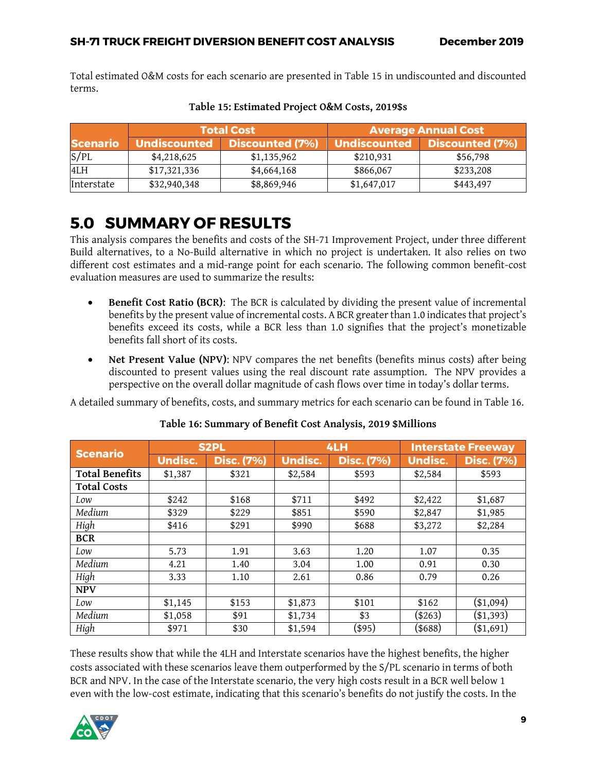Total estimated O&M costs for each scenario are presented in [Table 15](#page-16-1) in undiscounted and discounted terms.

<span id="page-16-1"></span>

|                 |              | <b>Total Cost</b>      | <b>Average Annual Cost</b> |                 |  |
|-----------------|--------------|------------------------|----------------------------|-----------------|--|
| <b>Scenario</b> | Undiscounted | <b>Discounted (7%)</b> | Undiscounted               | Discounted (7%) |  |
| S/PL            | \$4,218,625  | \$1,135,962            | \$210,931                  | \$56,798        |  |
| 4LH             | \$17,321,336 | \$4,664,168            | \$866,067                  | \$233,208       |  |
| Interstate      | \$32,940,348 | \$8,869,946            | \$1,647,017                | \$443,497       |  |

**Table 15: Estimated Project O&M Costs, 2019\$s**

# <span id="page-16-0"></span>**5.0 SUMMARY OF RESULTS**

This analysis compares the benefits and costs of the SH-71 Improvement Project, under three different Build alternatives, to a No-Build alternative in which no project is undertaken. It also relies on two different cost estimates and a mid-range point for each scenario. The following common benefit-cost evaluation measures are used to summarize the results:

- **Benefit Cost Ratio (BCR)**: The BCR is calculated by dividing the present value of incremental benefits by the present value of incremental costs. A BCR greater than 1.0 indicates that project's benefits exceed its costs, while a BCR less than 1.0 signifies that the project's monetizable benefits fall short of its costs.
- **Net Present Value (NPV):** NPV compares the net benefits (benefits minus costs) after being discounted to present values using the real discount rate assumption. The NPV provides a perspective on the overall dollar magnitude of cash flows over time in today's dollar terms.

A detailed summary of benefits, costs, and summary metrics for each scenario can be found in [Table 16.](#page-16-2)

<span id="page-16-2"></span>

|                       | <b>S2PL</b>    |                   | 4LH            |                   | <b>Interstate Freeway</b> |                   |
|-----------------------|----------------|-------------------|----------------|-------------------|---------------------------|-------------------|
| <b>Scenario</b>       | <b>Undisc.</b> | <b>Disc. (7%)</b> | <b>Undisc.</b> | <b>Disc. (7%)</b> | <b>Undisc.</b>            | <b>Disc. (7%)</b> |
| <b>Total Benefits</b> | \$1,387        | \$321             | \$2,584        | \$593             | \$2,584                   | \$593             |
| <b>Total Costs</b>    |                |                   |                |                   |                           |                   |
| Low                   | \$242          | \$168             | \$711          | \$492             | \$2,422                   | \$1,687           |
| Medium                | \$329          | \$229             | \$851          | \$590             | \$2,847                   | \$1,985           |
| High                  | \$416          | \$291             | \$990          | \$688             | \$3,272                   | \$2,284           |
| <b>BCR</b>            |                |                   |                |                   |                           |                   |
| Low                   | 5.73           | 1.91              | 3.63           | 1.20              | 1.07                      | 0.35              |
| Medium                | 4.21           | 1.40              | 3.04           | 1.00              | 0.91                      | 0.30              |
| High                  | 3.33           | 1.10              | 2.61           | 0.86              | 0.79                      | 0.26              |
| <b>NPV</b>            |                |                   |                |                   |                           |                   |
| Low                   | \$1,145        | \$153             | \$1,873        | \$101             | \$162                     | $(\$1,094)$       |
| Medium                | \$1,058        | \$91              | \$1,734        | \$3               | $(\$263)$                 | $($ \$1,393 $)$   |
| High                  | \$971          | \$30              | \$1,594        | (\$95)            | (\$688)                   | (\$1,691)         |

## **Table 16: Summary of Benefit Cost Analysis, 2019 \$Millions**

These results show that while the 4LH and Interstate scenarios have the highest benefits, the higher costs associated with these scenarios leave them outperformed by the S/PL scenario in terms of both BCR and NPV. In the case of the Interstate scenario, the very high costs result in a BCR well below 1 even with the low-cost estimate, indicating that this scenario's benefits do not justify the costs. In the

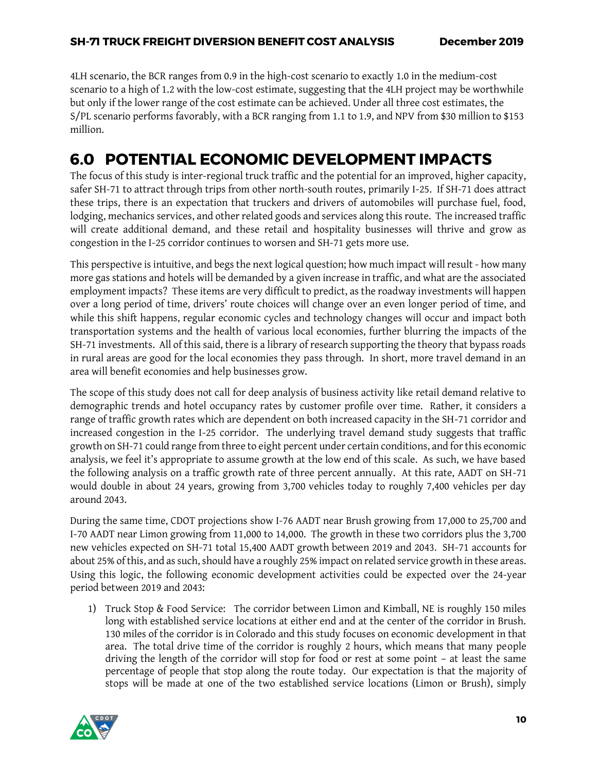4LH scenario, the BCR ranges from 0.9 in the high-cost scenario to exactly 1.0 in the medium-cost scenario to a high of 1.2 with the low-cost estimate, suggesting that the 4LH project may be worthwhile but only if the lower range of the cost estimate can be achieved. Under all three cost estimates, the S/PL scenario performs favorably, with a BCR ranging from 1.1 to 1.9, and NPV from \$30 million to \$153 million.

## <span id="page-17-0"></span>**6.0 POTENTIAL ECONOMIC DEVELOPMENT IMPACTS**

The focus of this study is inter-regional truck traffic and the potential for an improved, higher capacity, safer SH-71 to attract through trips from other north-south routes, primarily I-25. If SH-71 does attract these trips, there is an expectation that truckers and drivers of automobiles will purchase fuel, food, lodging, mechanics services, and other related goods and services along this route. The increased traffic will create additional demand, and these retail and hospitality businesses will thrive and grow as congestion in the I-25 corridor continues to worsen and SH-71 gets more use.

This perspective is intuitive, and begs the next logical question; how much impact will result - how many more gas stations and hotels will be demanded by a given increase in traffic, and what are the associated employment impacts? These items are very difficult to predict, as the roadway investments will happen over a long period of time, drivers' route choices will change over an even longer period of time, and while this shift happens, regular economic cycles and technology changes will occur and impact both transportation systems and the health of various local economies, further blurring the impacts of the SH-71 investments. All of this said, there is a library of research supporting the theory that bypass roads in rural areas are good for the local economies they pass through. In short, more travel demand in an area will benefit economies and help businesses grow.

The scope of this study does not call for deep analysis of business activity like retail demand relative to demographic trends and hotel occupancy rates by customer profile over time. Rather, it considers a range of traffic growth rates which are dependent on both increased capacity in the SH-71 corridor and increased congestion in the I-25 corridor. The underlying travel demand study suggests that traffic growth on SH-71 could range from three to eight percent under certain conditions, and for this economic analysis, we feel it's appropriate to assume growth at the low end of this scale. As such, we have based the following analysis on a traffic growth rate of three percent annually. At this rate, AADT on SH-71 would double in about 24 years, growing from 3,700 vehicles today to roughly 7,400 vehicles per day around 2043.

During the same time, CDOT projections show I-76 AADT near Brush growing from 17,000 to 25,700 and I-70 AADT near Limon growing from 11,000 to 14,000. The growth in these two corridors plus the 3,700 new vehicles expected on SH-71 total 15,400 AADT growth between 2019 and 2043. SH-71 accounts for about 25% of this, and as such, should have a roughly 25% impact on related service growth in these areas. Using this logic, the following economic development activities could be expected over the 24-year period between 2019 and 2043:

1) Truck Stop & Food Service: The corridor between Limon and Kimball, NE is roughly 150 miles long with established service locations at either end and at the center of the corridor in Brush. 130 miles of the corridor is in Colorado and this study focuses on economic development in that area. The total drive time of the corridor is roughly 2 hours, which means that many people driving the length of the corridor will stop for food or rest at some point – at least the same percentage of people that stop along the route today. Our expectation is that the majority of stops will be made at one of the two established service locations (Limon or Brush), simply